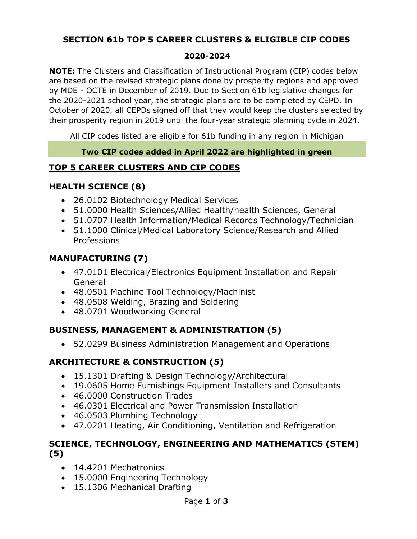## **SECTION 61b TOP 5 CAREER CLUSTERS & ELIGIBLE CIP CODES**

#### **2020-2024**

**NOTE:** The Clusters and Classification of Instructional Program (CIP) codes below are based on the revised strategic plans done by prosperity regions and approved by MDE - OCTE in December of 2019. Due to Section 61b legislative changes for the 2020-2021 school year, the strategic plans are to be completed by CEPD. In October of 2020, all CEPDs signed off that they would keep the clusters selected by their prosperity region in 2019 until the four-year strategic planning cycle in 2024.

All CIP codes listed are eligible for 61b funding in any region in Michigan

#### **Two CIP codes added in April 2022 are highlighted in green**

## **TOP 5 CAREER CLUSTERS AND CIP CODES**

## **HEALTH SCIENCE (8)**

- 26.0102 Biotechnology Medical Services
- 51.0000 Health Sciences/Allied Health/health Sciences, General
- 51.0707 Health Information/Medical Records Technology/Technician
- 51.1000 Clinical/Medical Laboratory Science/Research and Allied Professions

## **MANUFACTURING (7)**

- 47.0101 Electrical/Electronics Equipment Installation and Repair General
- 48.0501 Machine Tool Technology/Machinist
- 48.0508 Welding, Brazing and Soldering
- 48.0701 Woodworking General

### **BUSINESS, MANAGEMENT & ADMINISTRATION (5)**

• 52.0299 Business Administration Management and Operations

## **ARCHITECTURE & CONSTRUCTION (5)**

- 15.1301 Drafting & Design Technology/Architectural
- 19.0605 Home Furnishings Equipment Installers and Consultants
- 46.0000 Construction Trades
- 46.0301 Electrical and Power Transmission Installation
- 46.0503 Plumbing Technology
- 47.0201 Heating, Air Conditioning, Ventilation and Refrigeration

### **SCIENCE, TECHNOLOGY, ENGINEERING AND MATHEMATICS (STEM) (5)**

- 14.4201 Mechatronics
- 15.0000 Engineering Technology
- 15.1306 Mechanical Drafting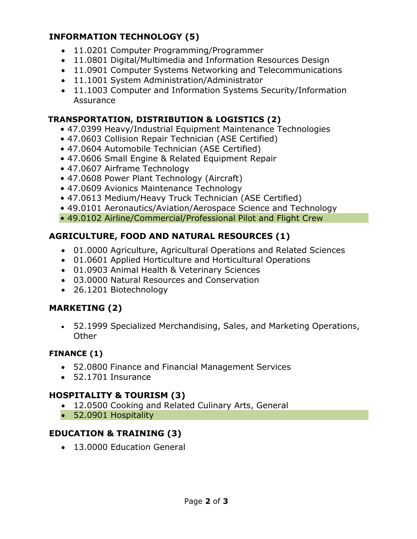## **INFORMATION TECHNOLOGY (5)**

- 11.0201 Computer Programming/Programmer
- 11.0801 Digital/Multimedia and Information Resources Design
- 11.0901 Computer Systems Networking and Telecommunications
- 11.1001 System Administration/Administrator
- 11.1003 Computer and Information Systems Security/Information Assurance

### **TRANSPORTATION, DISTRIBUTION & LOGISTICS (2)**

- 47.0399 Heavy/Industrial Equipment Maintenance Technologies
- 47.0603 Collision Repair Technician (ASE Certified)
- 47.0604 Automobile Technician (ASE Certified)
- 47.0606 Small Engine & Related Equipment Repair
- 47.0607 Airframe Technology
- 47.0608 Power Plant Technology (Aircraft)
- 47.0609 Avionics Maintenance Technology
- 47.0613 Medium/Heavy Truck Technician (ASE Certified)
- 49.0101 Aeronautics/Aviation/Aerospace Science and Technology
- 49.0102 Airline/Commercial/Professional Pilot and Flight Crew

## **AGRICULTURE, FOOD AND NATURAL RESOURCES (1)**

- 01.0000 Agriculture, Agricultural Operations and Related Sciences
- 01.0601 Applied Horticulture and Horticultural Operations
- 01.0903 Animal Health & Veterinary Sciences
- 03.0000 Natural Resources and Conservation
- 26.1201 Biotechnology

## **MARKETING (2)**

• 52.1999 Specialized Merchandising, Sales, and Marketing Operations, **Other** 

### **FINANCE (1)**

- 52.0800 Finance and Financial Management Services
- 52.1701 Insurance

### **HOSPITALITY & TOURISM (3)**

- 12.0500 Cooking and Related Culinary Arts, General
- 52.0901 Hospitality

## **EDUCATION & TRAINING (3)**

• 13.0000 Education General